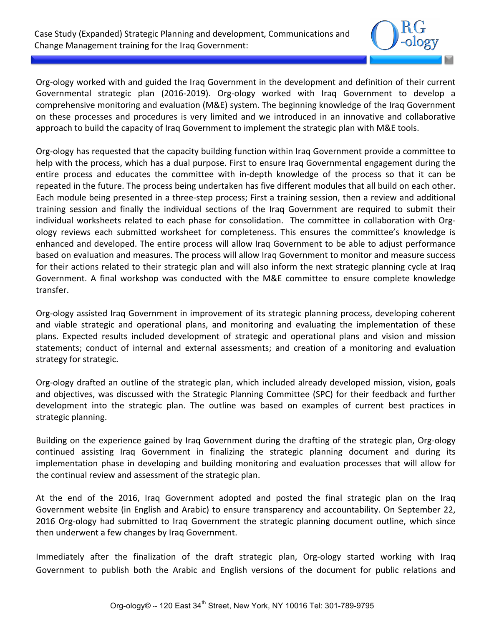

Org-ology worked with and guided the Iraq Government in the development and definition of their current Governmental strategic plan (2016-2019). Org-ology worked with Iraq Government to develop a comprehensive monitoring and evaluation (M&E) system. The beginning knowledge of the Iraq Government on these processes and procedures is very limited and we introduced in an innovative and collaborative approach to build the capacity of Iraq Government to implement the strategic plan with M&E tools.

Org-ology has requested that the capacity building function within Iraq Government provide a committee to help with the process, which has a dual purpose. First to ensure Iraq Governmental engagement during the entire process and educates the committee with in-depth knowledge of the process so that it can be repeated in the future. The process being undertaken has five different modules that all build on each other. Each module being presented in a three-step process; First a training session, then a review and additional training session and finally the individual sections of the Iraq Government are required to submit their individual worksheets related to each phase for consolidation. The committee in collaboration with Orgology reviews each submitted worksheet for completeness. This ensures the committee's knowledge is enhanced and developed. The entire process will allow Iraq Government to be able to adjust performance based on evaluation and measures. The process will allow Iraq Government to monitor and measure success for their actions related to their strategic plan and will also inform the next strategic planning cycle at Iraq Government. A final workshop was conducted with the M&E committee to ensure complete knowledge transfer.

Org-ology assisted Iraq Government in improvement of its strategic planning process, developing coherent and viable strategic and operational plans, and monitoring and evaluating the implementation of these plans. Expected results included development of strategic and operational plans and vision and mission statements; conduct of internal and external assessments; and creation of a monitoring and evaluation strategy for strategic.

Org-ology drafted an outline of the strategic plan, which included already developed mission, vision, goals and objectives, was discussed with the Strategic Planning Committee (SPC) for their feedback and further development into the strategic plan. The outline was based on examples of current best practices in strategic planning.

Building on the experience gained by Iraq Government during the drafting of the strategic plan, Org-ology continued assisting Iraq Government in finalizing the strategic planning document and during its implementation phase in developing and building monitoring and evaluation processes that will allow for the continual review and assessment of the strategic plan.

At the end of the 2016, Iraq Government adopted and posted the final strategic plan on the Iraq Government website (in English and Arabic) to ensure transparency and accountability. On September 22, 2016 Org-ology had submitted to Iraq Government the strategic planning document outline, which since then underwent a few changes by Iraq Government.

Immediately after the finalization of the draft strategic plan, Org-ology started working with Iraq Government to publish both the Arabic and English versions of the document for public relations and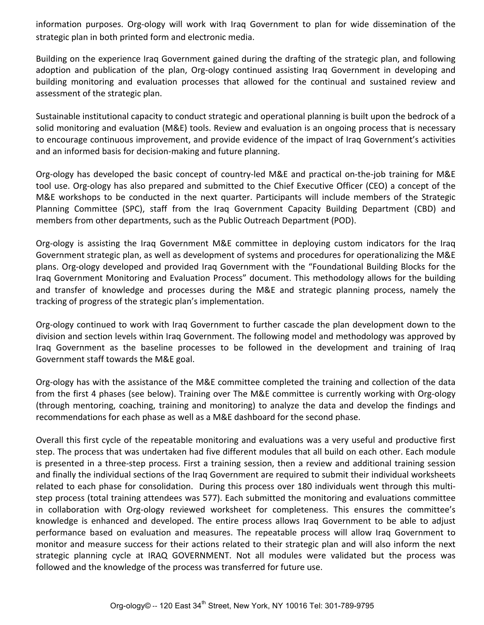information purposes. Org-ology will work with Iraq Government to plan for wide dissemination of the strategic plan in both printed form and electronic media.

Building on the experience Iraq Government gained during the drafting of the strategic plan, and following adoption and publication of the plan, Org-ology continued assisting Iraq Government in developing and building monitoring and evaluation processes that allowed for the continual and sustained review and assessment of the strategic plan.

Sustainable institutional capacity to conduct strategic and operational planning is built upon the bedrock of a solid monitoring and evaluation (M&E) tools. Review and evaluation is an ongoing process that is necessary to encourage continuous improvement, and provide evidence of the impact of Iraq Government's activities and an informed basis for decision-making and future planning.

Org-ology has developed the basic concept of country-led M&E and practical on-the-job training for M&E tool use. Org-ology has also prepared and submitted to the Chief Executive Officer (CEO) a concept of the M&E workshops to be conducted in the next quarter. Participants will include members of the Strategic Planning Committee (SPC), staff from the Iraq Government Capacity Building Department (CBD) and members from other departments, such as the Public Outreach Department (POD).

Org-ology is assisting the Iraq Government M&E committee in deploying custom indicators for the Iraq Government strategic plan, as well as development of systems and procedures for operationalizing the M&E plans. Org-ology developed and provided Iraq Government with the "Foundational Building Blocks for the Iraq Government Monitoring and Evaluation Process" document. This methodology allows for the building and transfer of knowledge and processes during the M&E and strategic planning process, namely the tracking of progress of the strategic plan's implementation.

Org-ology continued to work with Iraq Government to further cascade the plan development down to the division and section levels within Iraq Government. The following model and methodology was approved by Iraq Government as the baseline processes to be followed in the development and training of Iraq Government staff towards the M&E goal.

Org-ology has with the assistance of the M&E committee completed the training and collection of the data from the first 4 phases (see below). Training over The M&E committee is currently working with Org-ology (through mentoring, coaching, training and monitoring) to analyze the data and develop the findings and recommendations for each phase as well as a M&E dashboard for the second phase.

Overall this first cycle of the repeatable monitoring and evaluations was a very useful and productive first step. The process that was undertaken had five different modules that all build on each other. Each module is presented in a three-step process. First a training session, then a review and additional training session and finally the individual sections of the Iraq Government are required to submit their individual worksheets related to each phase for consolidation. During this process over 180 individuals went through this multistep process (total training attendees was 577). Each submitted the monitoring and evaluations committee in collaboration with Org-ology reviewed worksheet for completeness. This ensures the committee's knowledge is enhanced and developed. The entire process allows Iraq Government to be able to adjust performance based on evaluation and measures. The repeatable process will allow Iraq Government to monitor and measure success for their actions related to their strategic plan and will also inform the next strategic planning cycle at IRAQ GOVERNMENT. Not all modules were validated but the process was followed and the knowledge of the process was transferred for future use.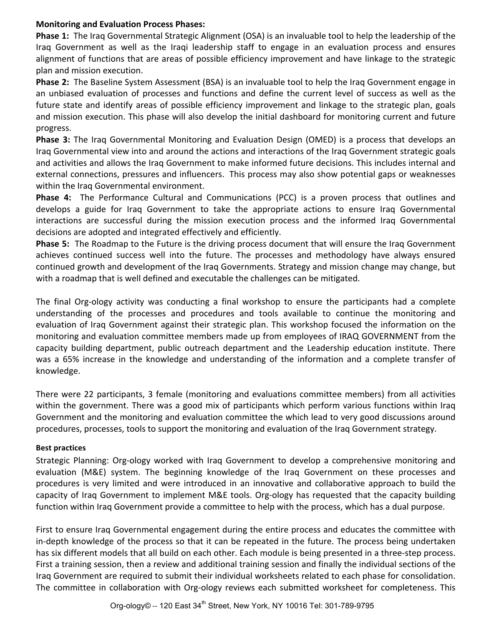## **Monitoring and Evaluation Process Phases:**

**Phase 1:** The Iraq Governmental Strategic Alignment (OSA) is an invaluable tool to help the leadership of the Iraq Government as well as the Iraqi leadership staff to engage in an evaluation process and ensures alignment of functions that are areas of possible efficiency improvement and have linkage to the strategic plan and mission execution.

**Phase 2:** The Baseline System Assessment (BSA) is an invaluable tool to help the Iraq Government engage in an unbiased evaluation of processes and functions and define the current level of success as well as the future state and identify areas of possible efficiency improvement and linkage to the strategic plan, goals and mission execution. This phase will also develop the initial dashboard for monitoring current and future progress.

**Phase 3:** The Iraq Governmental Monitoring and Evaluation Design (OMED) is a process that develops an Iraq Governmental view into and around the actions and interactions of the Iraq Government strategic goals and activities and allows the Iraq Government to make informed future decisions. This includes internal and external connections, pressures and influencers. This process may also show potential gaps or weaknesses within the Iraq Governmental environment.

**Phase 4:** The Performance Cultural and Communications (PCC) is a proven process that outlines and develops a guide for Iraq Government to take the appropriate actions to ensure Iraq Governmental interactions are successful during the mission execution process and the informed Iraq Governmental decisions are adopted and integrated effectively and efficiently.

**Phase 5:** The Roadmap to the Future is the driving process document that will ensure the Iraq Government achieves continued success well into the future. The processes and methodology have always ensured continued growth and development of the Iraq Governments. Strategy and mission change may change, but with a roadmap that is well defined and executable the challenges can be mitigated.

The final Org-ology activity was conducting a final workshop to ensure the participants had a complete understanding of the processes and procedures and tools available to continue the monitoring and evaluation of Iraq Government against their strategic plan. This workshop focused the information on the monitoring and evaluation committee members made up from employees of IRAQ GOVERNMENT from the capacity building department, public outreach department and the Leadership education institute. There was a 65% increase in the knowledge and understanding of the information and a complete transfer of knowledge.

There were 22 participants, 3 female (monitoring and evaluations committee members) from all activities within the government. There was a good mix of participants which perform various functions within Iraq Government and the monitoring and evaluation committee the which lead to very good discussions around procedures, processes, tools to support the monitoring and evaluation of the Iraq Government strategy.

## **Best practices**

Strategic Planning: Org-ology worked with Iraq Government to develop a comprehensive monitoring and evaluation (M&E) system. The beginning knowledge of the Iraq Government on these processes and procedures is very limited and were introduced in an innovative and collaborative approach to build the capacity of Iraq Government to implement M&E tools. Org-ology has requested that the capacity building function within Iraq Government provide a committee to help with the process, which has a dual purpose.

First to ensure Iraq Governmental engagement during the entire process and educates the committee with in-depth knowledge of the process so that it can be repeated in the future. The process being undertaken has six different models that all build on each other. Each module is being presented in a three-step process. First a training session, then a review and additional training session and finally the individual sections of the Iraq Government are required to submit their individual worksheets related to each phase for consolidation. The committee in collaboration with Org-ology reviews each submitted worksheet for completeness. This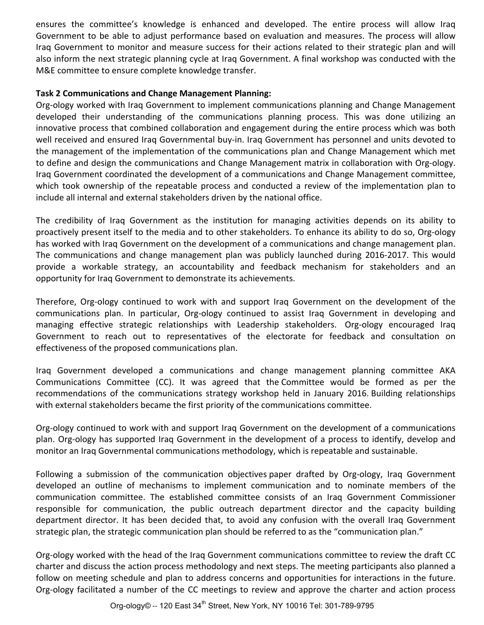ensures the committee's knowledge is enhanced and developed. The entire process will allow Iraq Government to be able to adjust performance based on evaluation and measures. The process will allow Iraq Government to monitor and measure success for their actions related to their strategic plan and will also inform the next strategic planning cycle at Iraq Government. A final workshop was conducted with the M&E committee to ensure complete knowledge transfer.

## Task 2 Communications and Change Management Planning:

Org-ology worked with Iraq Government to implement communications planning and Change Management developed their understanding of the communications planning process. This was done utilizing an innovative process that combined collaboration and engagement during the entire process which was both well received and ensured Iraq Governmental buy-in. Iraq Government has personnel and units devoted to the management of the implementation of the communications plan and Change Management which met to define and design the communications and Change Management matrix in collaboration with Org-ology. Irag Government coordinated the development of a communications and Change Management committee, which took ownership of the repeatable process and conducted a review of the implementation plan to include all internal and external stakeholders driven by the national office.

The credibility of Iraq Government as the institution for managing activities depends on its ability to proactively present itself to the media and to other stakeholders. To enhance its ability to do so, Org-ology has worked with Iraq Government on the development of a communications and change management plan. The communications and change management plan was publicly launched during 2016-2017. This would provide a workable strategy, an accountability and feedback mechanism for stakeholders and an opportunity for Iraq Government to demonstrate its achievements.

Therefore, Org-ology continued to work with and support Iraq Government on the development of the communications plan. In particular, Org-ology continued to assist Iraq Government in developing and managing effective strategic relationships with Leadership stakeholders. Org-ology encouraged Iraq Government to reach out to representatives of the electorate for feedback and consultation on effectiveness of the proposed communications plan.

Iraq Government developed a communications and change management planning committee AKA Communications Committee (CC). It was agreed that the Committee would be formed as per the recommendations of the communications strategy workshop held in January 2016. Building relationships with external stakeholders became the first priority of the communications committee.

Org-ology continued to work with and support Iraq Government on the development of a communications plan. Org-ology has supported Iraq Government in the development of a process to identify, develop and monitor an Iraq Governmental communications methodology, which is repeatable and sustainable.

Following a submission of the communication objectives paper drafted by Org-ology, Iraq Government developed an outline of mechanisms to implement communication and to nominate members of the communication committee. The established committee consists of an Iraq Government Commissioner responsible for communication, the public outreach department director and the capacity building department director. It has been decided that, to avoid any confusion with the overall Iraq Government strategic plan, the strategic communication plan should be referred to as the "communication plan."

Org-ology worked with the head of the Iraq Government communications committee to review the draft CC charter and discuss the action process methodology and next steps. The meeting participants also planned a follow on meeting schedule and plan to address concerns and opportunities for interactions in the future. Org-ology facilitated a number of the CC meetings to review and approve the charter and action process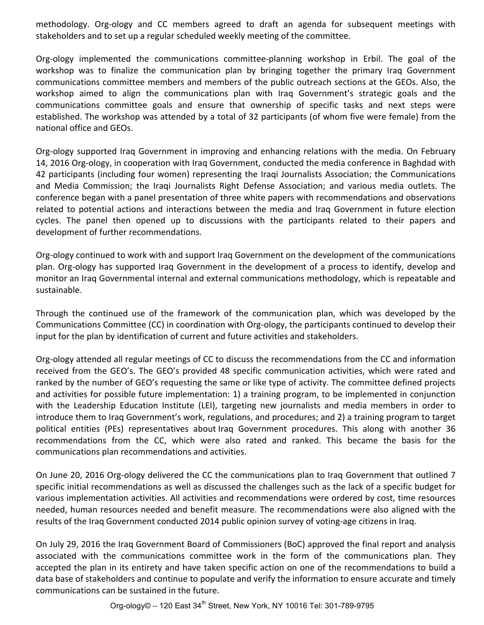methodology. Org-ology and CC members agreed to draft an agenda for subsequent meetings with stakeholders and to set up a regular scheduled weekly meeting of the committee.

Org-ology implemented the communications committee-planning workshop in Erbil. The goal of the workshop was to finalize the communication plan by bringing together the primary Iraq Government communications committee members and members of the public outreach sections at the GEOs. Also, the workshop aimed to align the communications plan with Iraq Government's strategic goals and the communications committee goals and ensure that ownership of specific tasks and next steps were established. The workshop was attended by a total of 32 participants (of whom five were female) from the national office and GEOs.

Org-ology supported Iraq Government in improving and enhancing relations with the media. On February 14, 2016 Org-ology, in cooperation with Iraq Government, conducted the media conference in Baghdad with 42 participants (including four women) representing the Iraqi Journalists Association; the Communications and Media Commission; the Iraqi Journalists Right Defense Association; and various media outlets. The conference began with a panel presentation of three white papers with recommendations and observations related to potential actions and interactions between the media and Iraq Government in future election cycles. The panel then opened up to discussions with the participants related to their papers and development of further recommendations.

Org-ology continued to work with and support Iraq Government on the development of the communications plan. Org-ology has supported Iraq Government in the development of a process to identify, develop and monitor an Iraq Governmental internal and external communications methodology, which is repeatable and sustainable. 

Through the continued use of the framework of the communication plan, which was developed by the Communications Committee (CC) in coordination with Org-ology, the participants continued to develop their input for the plan by identification of current and future activities and stakeholders.

Org-ology attended all regular meetings of CC to discuss the recommendations from the CC and information received from the GEO's. The GEO's provided 48 specific communication activities, which were rated and ranked by the number of GEO's requesting the same or like type of activity. The committee defined projects and activities for possible future implementation: 1) a training program, to be implemented in conjunction with the Leadership Education Institute (LEI), targeting new journalists and media members in order to introduce them to Iraq Government's work, regulations, and procedures; and 2) a training program to target political entities (PEs) representatives about Iraq Government procedures. This along with another 36 recommendations from the CC, which were also rated and ranked. This became the basis for the communications plan recommendations and activities.

On June 20, 2016 Org-ology delivered the CC the communications plan to Iraq Government that outlined 7 specific initial recommendations as well as discussed the challenges such as the lack of a specific budget for various implementation activities. All activities and recommendations were ordered by cost, time resources needed, human resources needed and benefit measure. The recommendations were also aligned with the results of the Iraq Government conducted 2014 public opinion survey of voting-age citizens in Iraq.

On July 29, 2016 the Iraq Government Board of Commissioners (BoC) approved the final report and analysis associated with the communications committee work in the form of the communications plan. They accepted the plan in its entirety and have taken specific action on one of the recommendations to build a data base of stakeholders and continue to populate and verify the information to ensure accurate and timely communications can be sustained in the future.